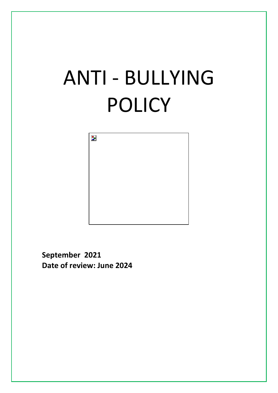# ANTI - BULLYING POLICY



**September 2021 Date of review: June 2024**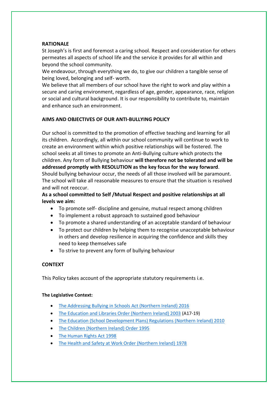#### **RATIONALE**

St Joseph's is first and foremost a caring school. Respect and consideration for others permeates all aspects of school life and the service it provides for all within and beyond the school community.

We endeavour, through everything we do, to give our children a tangible sense of being loved, belonging and self- worth.

We believe that all members of our school have the right to work and play within a secure and caring environment, regardless of age, gender, appearance, race, religion or social and cultural background. It is our responsibility to contribute to, maintain and enhance such an environment.

#### **AIMS AND OBJECTIVES OF OUR ANTI-BULLYING POLICY**

Our school is committed to the promotion of effective teaching and learning for all its children. Accordingly, all within our school community will continue to work to create an environment within which positive relationships will be fostered. The school seeks at all times to promote an Anti-Bullying culture which protects the children. Any form of Bullying behaviour **will therefore not be tolerated and will be addressed promptly with RESOLUTION as the key focus for the way forward**. Should bullying behaviour occur, the needs of all those involved will be paramount. The school will take all reasonable measures to ensure that the situation is resolved and will not reoccur.

**As a school committed to Self /Mutual Respect and positive relationships at all levels we aim:**

- To promote self- discipline and genuine, mutual respect among children
- To implement a robust approach to sustained good behaviour
- To promote a shared understanding of an acceptable standard of behaviour
- To protect our children by helping them to recognise unacceptable behaviour in others and develop resilience in acquiring the confidence and skills they need to keep themselves safe
- To strive to prevent any form of bullying behaviour

#### **CONTEXT**

This Policy takes account of the appropriate statutory requirements i.e.

#### **The Legislative Context:**

- [The Addressing Bullying in Schools Act \(Northern Ireland\) 2016](http://www.legislation.gov.uk/nia/2016/25/contents)
- [The Education and Libraries Order \(Northern Ireland\) 2003](http://www.legislation.gov.uk/nisi/2003/424/contents/made) (A17-19)
- [The Education \(School Development Plans\) Regulations \(Northern Ireland\) 2010](https://www.education-ni.gov.uk/sites/default/files/publications/de/annex-a-school-development-plans-regulations-2010.pdf)
- [The Children \(Northern Ireland\) Order 1995](http://www.legislation.gov.uk/nisi/1995/755/contents/made)
- [The Human Rights Act 1998](https://www.legislation.gov.uk/ukpga/1998/42/contents)
- [The Health and Safety at Work Order \(Northern Ireland\) 1978](https://www.legislation.gov.uk/nisi/1978/1039)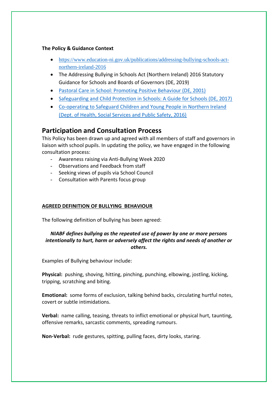#### **The Policy & Guidance Context**

- [https://www.education-ni.gov.uk/publications/addressing-bullying-schools-act](https://www.education-ni.gov.uk/publications/addressing-bullying-schools-act-northern-ireland-2016)[northern-ireland-2016](https://www.education-ni.gov.uk/publications/addressing-bullying-schools-act-northern-ireland-2016)
- The Addressing Bullying in Schools Act (Northern Ireland) 2016 Statutory Guidance for Schools and Boards of Governors (DE, 2019)
- [Pastoral Care in School: Promoting Positive Behaviour \(DE, 2001\)](https://www.education-ni.gov.uk/sites/default/files/publications/de/pastoral%20care%20in%20schools.pdf)
- [Safeguarding and Child Protection in Schools: A Guide for Schools \(DE, 2017\)](https://www.education-ni.gov.uk/sites/default/files/publications/education/Safeguarding-and-Child-Protection-in-Schools-A-Guide-for-Schools.pdf)
- [Co-operating to Safeguard Children and Young People in Northern Ireland](https://www.health-ni.gov.uk/publications/co-operating-safeguard-children-and-young-people-northern-ireland)  [\(Dept. of Health, Social Services and Public Safety, 2016\)](https://www.health-ni.gov.uk/publications/co-operating-safeguard-children-and-young-people-northern-ireland)

## **Participation and Consultation Process**

This Policy has been drawn up and agreed with all members of staff and governors in liaison with school pupils. In updating the policy, we have engaged in the following consultation process:

- Awareness raising via Anti-Bullying Week 2020
- Observations and Feedback from staff
- Seeking views of pupils via School Council
- Consultation with Parents focus group

#### **AGREED DEFINITION OF BULLYING BEHAVIOUR**

The following definition of bullying has been agreed:

## *NIABF defines bullying as the repeated use of power by one or more persons intentionally to hurt, harm or adversely affect the rights and needs of another or others.*

Examples of Bullying behaviour include:

**Physical:** pushing, shoving, hitting, pinching, punching, elbowing, jostling, kicking, tripping, scratching and biting.

**Emotional:** some forms of exclusion, talking behind backs, circulating hurtful notes, covert or subtle intimidations.

**Verbal:** name calling, teasing, threats to inflict emotional or physical hurt, taunting, offensive remarks, sarcastic comments, spreading rumours.

**Non-Verbal:** rude gestures, spitting, pulling faces, dirty looks, staring.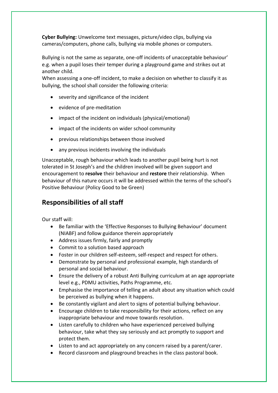**Cyber Bullying:** Unwelcome text messages, picture/video clips, bullying via cameras/computers, phone calls, bullying via mobile phones or computers.

Bullying is not the same as separate, one-off incidents of unacceptable behaviour' e.g. when a pupil loses their temper during a playground game and strikes out at another child.

When assessing a one-off incident, to make a decision on whether to classify it as bullying, the school shall consider the following criteria:

- severity and significance of the incident
- evidence of pre-meditation
- impact of the incident on individuals (physical/emotional)
- impact of the incidents on wider school community
- previous relationships between those involved
- any previous incidents involving the individuals

Unacceptable, rough behaviour which leads to another pupil being hurt is not tolerated in St Joseph's and the children involved will be given support and encouragement to **resolve** their behaviour and **restore** their relationship. When behaviour of this nature occurs it will be addressed within the terms of the school's Positive Behaviour (Policy Good to be Green)

# **Responsibilities of all staff**

Our staff will:

- Be familiar with the 'Effective Responses to Bullying Behaviour' document (NIABF) and follow guidance therein appropriately
- Address issues firmly, fairly and promptly
- Commit to a solution based approach
- Foster in our children self-esteem, self-respect and respect for others.
- Demonstrate by personal and professional example, high standards of personal and social behaviour.
- Ensure the delivery of a robust Anti Bullying curriculum at an age appropriate level e.g., PDMU activities, Paths Programme, etc.
- Emphasise the importance of telling an adult about any situation which could be perceived as bullying when it happens.
- Be constantly vigilant and alert to signs of potential bullying behaviour.
- Encourage children to take responsibility for their actions, reflect on any inappropriate behaviour and move towards resolution.
- Listen carefully to children who have experienced perceived bullying behaviour, take what they say seriously and act promptly to support and protect them.
- Listen to and act appropriately on any concern raised by a parent/carer.
- Record classroom and playground breaches in the class pastoral book.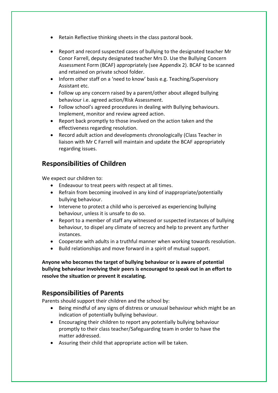- Retain Reflective thinking sheets in the class pastoral book.
- Report and record suspected cases of bullying to the designated teacher Mr Conor Farrell, deputy designated teacher Mrs D. Use the Bullying Concern Assessment Form (BCAF) appropriately (see Appendix 2). BCAF to be scanned and retained on private school folder.
- Inform other staff on a 'need to know' basis e.g. Teaching/Supervisory Assistant etc.
- Follow up any concern raised by a parent/other about alleged bullying behaviour i.e. agreed action/Risk Assessment.
- Follow school's agreed procedures in dealing with Bullying behaviours. Implement, monitor and review agreed action.
- Report back promptly to those involved on the action taken and the effectiveness regarding resolution.
- Record adult action and developments chronologically (Class Teacher in liaison with Mr C Farrell will maintain and update the BCAF appropriately regarding issues.

# **Responsibilities of Children**

We expect our children to:

- Endeavour to treat peers with respect at all times.
- Refrain from becoming involved in any kind of inappropriate/potentially bullying behaviour.
- Intervene to protect a child who is perceived as experiencing bullying behaviour, unless it is unsafe to do so.
- Report to a member of staff any witnessed or suspected instances of bullying behaviour, to dispel any climate of secrecy and help to prevent any further instances.
- Cooperate with adults in a truthful manner when working towards resolution.
- Build relationships and move forward in a spirit of mutual support.

**Anyone who becomes the target of bullying behaviour or is aware of potential bullying behaviour involving their peers is encouraged to speak out in an effort to resolve the situation or prevent it escalating.**

# **Responsibilities of Parents**

Parents should support their children and the school by:

- Being mindful of any signs of distress or unusual behaviour which might be an indication of potentially bullying behaviour.
- Encouraging their children to report any potentially bullying behaviour promptly to their class teacher/Safeguarding team in order to have the matter addressed.
- Assuring their child that appropriate action will be taken.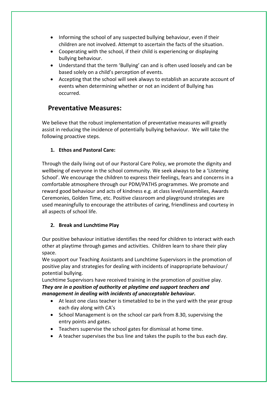- Informing the school of any suspected bullying behaviour, even if their children are not involved. Attempt to ascertain the facts of the situation.
- Cooperating with the school, if their child is experiencing or displaying bullying behaviour.
- Understand that the term 'Bullying' can and is often used loosely and can be based solely on a child's perception of events.
- Accepting that the school will seek always to establish an accurate account of events when determining whether or not an incident of Bullying has occurred.

# **Preventative Measures:**

We believe that the robust implementation of preventative measures will greatly assist in reducing the incidence of potentially bullying behaviour. We will take the following proactive steps.

## **1. Ethos and Pastoral Care:**

Through the daily living out of our Pastoral Care Policy, we promote the dignity and wellbeing of everyone in the school community. We seek always to be a 'Listening School'. We encourage the children to express their feelings, fears and concerns in a comfortable atmosphere through our PDM/PATHS programmes. We promote and reward good behaviour and acts of kindness e.g. at class level/assemblies, Awards Ceremonies, Golden Time, etc. Positive classroom and playground strategies are used meaningfully to encourage the attributes of caring, friendliness and courtesy in all aspects of school life.

## **2. Break and Lunchtime Play**

Our positive behaviour initiative identifies the need for children to interact with each other at playtime through games and activities. Children learn to share their play space.

We support our Teaching Assistants and Lunchtime Supervisors in the promotion of positive play and strategies for dealing with incidents of inappropriate behaviour/ potential bullying.

Lunchtime Supervisors have received training in the promotion of positive play. *They are in a position of authority at playtime and support teachers and management in dealing with incidents of unacceptable behaviour.*

- At least one class teacher is timetabled to be in the yard with the year group each day along with CA's
- School Management is on the school car park from 8.30, supervising the entry points and gates.
- Teachers supervise the school gates for dismissal at home time.
- A teacher supervises the bus line and takes the pupils to the bus each day.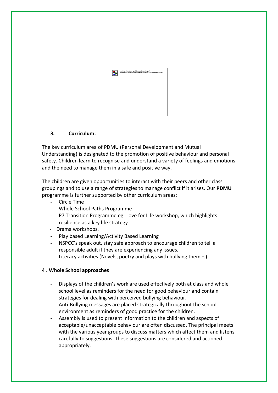

## **3. Curriculum:**

The key curriculum area of PDMU (Personal Development and Mutual Understanding) is designated to the promotion of positive behaviour and personal safety. Children learn to recognise and understand a variety of feelings and emotions and the need to manage them in a safe and positive way.

The children are given opportunities to interact with their peers and other class groupings and to use a range of strategies to manage conflict if it arises. Our **PDMU** programme is further supported by other curriculum areas:

- Circle Time
- Whole School Paths Programme
- P7 Transition Programme eg: Love for Life workshop, which highlights resilience as a key life strategy
- Drama workshops.
- Play based Learning/Activity Based Learning
- NSPCC's speak out, stay safe approach to encourage children to tell a responsible adult if they are experiencing any issues.
- Literacy activities (Novels, poetry and plays with bullying themes)

#### **4 . Whole School approaches**

- Displays of the children's work are used effectively both at class and whole school level as reminders for the need for good behaviour and contain strategies for dealing with perceived bullying behaviour.
- Anti-Bullying messages are placed strategically throughout the school environment as reminders of good practice for the children.
- Assembly is used to present information to the children and aspects of acceptable/unacceptable behaviour are often discussed. The principal meets with the various year groups to discuss matters which affect them and listens carefully to suggestions. These suggestions are considered and actioned appropriately.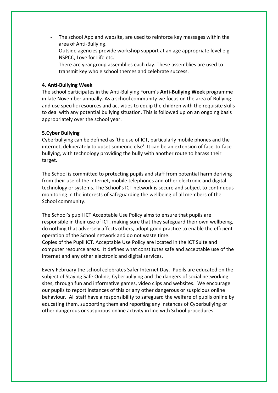- The school App and website, are used to reinforce key messages within the area of Anti-Bullying.
- Outside agencies provide workshop support at an age appropriate level e.g. NSPCC, Love for Life etc.
- There are year group assemblies each day. These assemblies are used to transmit key whole school themes and celebrate success.

#### **4. Anti-Bullying Week**

The school participates in the Anti-Bullying Forum's **Anti-Bullying Week** programme in late November annually. As a school community we focus on the area of Bullying and use specific resources and activities to equip the children with the requisite skills to deal with any potential bullying situation. This is followed up on an ongoing basis appropriately over the school year.

#### **5.Cyber Bullying**

Cyberbullying can be defined as 'the use of ICT, particularly mobile phones and the internet, deliberately to upset someone else'. It can be an extension of face-to-face bullying, with technology providing the bully with another route to harass their target.

The School is committed to protecting pupils and staff from potential harm deriving from their use of the internet, mobile telephones and other electronic and digital technology or systems. The School's ICT network is secure and subject to continuous monitoring in the interests of safeguarding the wellbeing of all members of the School community.

The School's pupil ICT Acceptable Use Policy aims to ensure that pupils are responsible in their use of ICT, making sure that they safeguard their own wellbeing, do nothing that adversely affects others, adopt good practice to enable the efficient operation of the School network and do not waste time.

Copies of the Pupil ICT. Acceptable Use Policy are located in the ICT Suite and computer resource areas. It defines what constitutes safe and acceptable use of the internet and any other electronic and digital services.

Every February the school celebrates Safer Internet Day. Pupils are educated on the subject of Staying Safe Online, Cyberbullying and the dangers of social networking sites, through fun and informative games, video clips and websites. We encourage our pupils to report instances of this or any other dangerous or suspicious online behaviour. All staff have a responsibility to safeguard the welfare of pupils online by educating them, supporting them and reporting any instances of Cyberbullying or other dangerous or suspicious online activity in line with School procedures.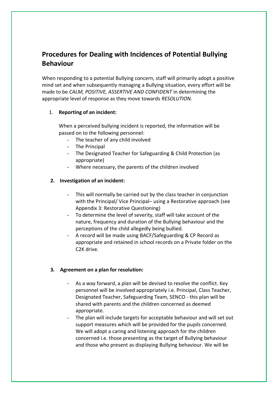# **Procedures for Dealing with Incidences of Potential Bullying Behaviour**

When responding to a potential Bullying concern, staff will primarily adopt a positive mind set and when subsequently managing a Bullying situation, every effort will be made to be *CALM, POSITIVE, ASSERTIVE AND CONFIDENT* in determining the appropriate level of response as they move towards *RESOLUTION.*

#### 1. **Reporting of an incident:**

When a perceived bullying incident is reported, the information will be passed on to the following personnel:

- The teacher of any child involved
- The Principal
- The Designated Teacher for Safeguarding & Child Protection (as appropriate)
- Where necessary, the parents of the children involved

#### **2. Investigation of an incident:**

- This will normally be carried out by the class teacher in conjunction with the Principal/ Vice Principal– using a Restorative approach (see Appendix 3: Restorative Questioning)
- To determine the level of severity, staff will take account of the nature, frequency and duration of the Bullying behaviour and the perceptions of the child allegedly being bullied.
- A record will be made using BACF/Safeguarding & CP Record as appropriate and retained in school records on a Private folder on the C2K drive.

#### **3. Agreement on a plan for resolution:**

- As a way forward, a plan will be devised to resolve the conflict. Key personnel will be involved appropriately i.e. Principal, Class Teacher, Designated Teacher, Safeguarding Team, SENCO - this plan will be shared with parents and the children concerned as deemed appropriate.
- The plan will include targets for acceptable behaviour and will set out support measures which will be provided for the pupils concerned. We will adopt a caring and listening approach for the children concerned i.e. those presenting as the target of Bullying behaviour and those who present as displaying Bullying behaviour. We will be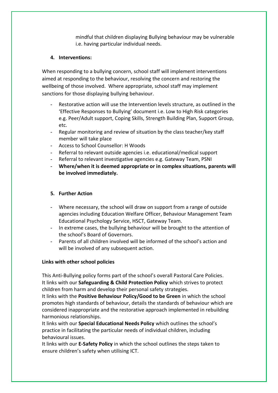mindful that children displaying Bullying behaviour may be vulnerable i.e. having particular individual needs.

#### **4. Interventions:**

When responding to a bullying concern, school staff will implement interventions aimed at responding to the behaviour, resolving the concern and restoring the wellbeing of those involved. Where appropriate, school staff may implement sanctions for those displaying bullying behaviour.

- Restorative action will use the Intervention levels structure, as outlined in the 'Effective Responses to Bullying' document i.e. Low to High Risk categories e.g. Peer/Adult support, Coping Skills, Strength Building Plan, Support Group, etc.
- Regular monitoring and review of situation by the class teacher/key staff member will take place
- Access to School Counsellor: H Woods
- Referral to relevant outside agencies i.e. educational/medical support
- Referral to relevant investigative agencies e.g. Gateway Team, PSNI
- **Where/when it is deemed appropriate or in complex situations, parents will be involved immediately.**

#### **5. Further Action**

- Where necessary, the school will draw on support from a range of outside agencies including Education Welfare Officer, Behaviour Management Team Educational Psychology Service, HSCT, Gateway Team.
- In extreme cases, the bullying behaviour will be brought to the attention of the school's Board of Governors.
- Parents of all children involved will be informed of the school's action and will be involved of any subsequent action.

#### **Links with other school policies**

This Anti-Bullying policy forms part of the school's overall Pastoral Care Policies. It links with our **Safeguarding & Child Protection Policy** which strives to protect children from harm and develop their personal safety strategies.

It links with the **Positive Behaviour Policy/Good to be Green** in which the school promotes high standards of behaviour, details the standards of behaviour which are considered inappropriate and the restorative approach implemented in rebuilding harmonious relationships.

It links with our **Special Educational Needs Policy** which outlines the school's practice in facilitating the particular needs of individual children, including behavioural issues.

It links with our **E-Safety Policy** in which the school outlines the steps taken to ensure children's safety when utilising ICT.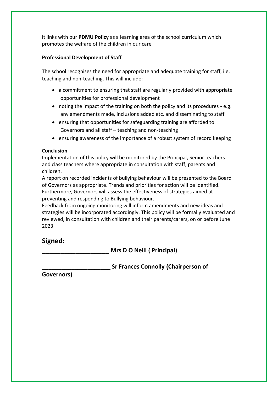It links with our **PDMU Policy** as a learning area of the school curriculum which promotes the welfare of the children in our care

#### **Professional Development of Staff**

The school recognises the need for appropriate and adequate training for staff, i.e. teaching and non-teaching. This will include:

- a commitment to ensuring that staff are regularly provided with appropriate opportunities for professional development
- noting the impact of the training on both the policy and its procedures e.g. any amendments made, inclusions added etc. and disseminating to staff
- ensuring that opportunities for safeguarding training are afforded to Governors and all staff – teaching and non-teaching
- ensuring awareness of the importance of a robust system of record keeping

## **Conclusion**

Implementation of this policy will be monitored by the Principal, Senior teachers and class teachers where appropriate in consultation with staff, parents and children.

A report on recorded incidents of bullying behaviour will be presented to the Board of Governors as appropriate. Trends and priorities for action will be identified. Furthermore, Governors will assess the effectiveness of strategies aimed at preventing and responding to Bullying behaviour.

Feedback from ongoing monitoring will inform amendments and new ideas and strategies will be incorporated accordingly. This policy will be formally evaluated and reviewed, in consultation with children and their parents/carers, on or before June 2023

## **Signed:**

**\_\_\_\_\_\_\_\_\_\_\_\_\_\_\_\_\_\_ Mrs D O Neill ( Principal)** 

**\_\_\_\_\_\_\_\_\_\_\_\_\_\_\_\_\_\_\_\_\_ Sr Frances Connolly (Chairperson of** 

**Governors)**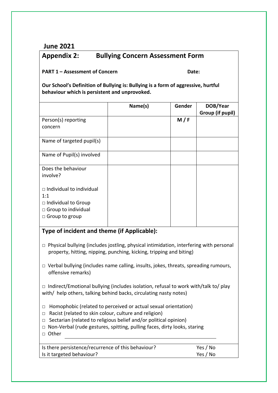**June 2021**

# **Appendix 2: Bullying Concern Assessment Form**

#### **PART 1 – Assessment of Concern Date:**

**Our School's Definition of Bullying is: Bullying is a form of aggressive, hurtful behaviour which is persistent and unprovoked.**

|                                                                                                                                                                    | Name(s) | Gender | DOB/Year<br>Group (if pupil) |  |
|--------------------------------------------------------------------------------------------------------------------------------------------------------------------|---------|--------|------------------------------|--|
| Person(s) reporting<br>concern                                                                                                                                     |         | M/F    |                              |  |
| Name of targeted pupil(s)                                                                                                                                          |         |        |                              |  |
| Name of Pupil(s) involved                                                                                                                                          |         |        |                              |  |
| Does the behaviour<br>involve?                                                                                                                                     |         |        |                              |  |
| $\Box$ Individual to individual<br>1:1<br>$\Box$ Individual to Group<br>□ Group to individual<br>$\Box$ Group to group                                             |         |        |                              |  |
| Type of incident and theme (if Applicable):                                                                                                                        |         |        |                              |  |
| Physical bullying (includes jostling, physical intimidation, interfering with personal<br>□<br>property, hitting, nipping, punching, kicking, tripping and biting) |         |        |                              |  |

 $\Box$  Verbal bullying (includes name calling, insults, jokes, threats, spreading rumours, offensive remarks)

 $\Box$  Indirect/Emotional bullying (includes isolation, refusal to work with/talk to/ play with/ help others, talking behind backs, circulating nasty notes)

- □ Homophobic (related to perceived or actual sexual orientation)
- □ Racist (related to skin colour, culture and religion)
- $\Box$  Sectarian (related to religious belief and/or political opinion)
- □ Non-Verbal (rude gestures, spitting, pulling faces, dirty looks, staring
- □ Other

| Is there persistence/recurrence of this behaviour? | Yes / No |
|----------------------------------------------------|----------|
| Is it targeted behaviour?                          | Yes / No |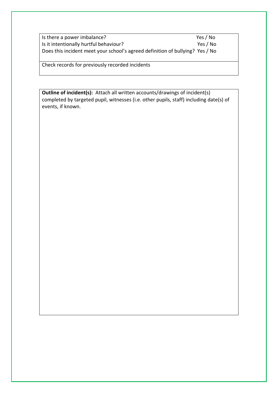Is there a power imbalance? Yes / No Is it intentionally hurtful behaviour? Yes / No Does this incident meet your school's agreed definition of bullying? Yes / No

Check records for previously recorded incidents

**Outline of incident(s):** Attach all written accounts/drawings of incident(s) completed by targeted pupil, witnesses (i.e. other pupils, staff) including date(s) of events, if known.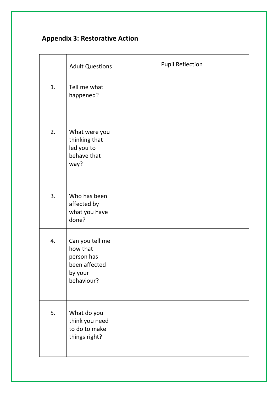# **Appendix 3: Restorative Action**

|    | <b>Adult Questions</b>                                                              | <b>Pupil Reflection</b> |
|----|-------------------------------------------------------------------------------------|-------------------------|
| 1. | Tell me what<br>happened?                                                           |                         |
| 2. | What were you<br>thinking that<br>led you to<br>behave that<br>way?                 |                         |
| 3. | Who has been<br>affected by<br>what you have<br>done?                               |                         |
| 4. | Can you tell me<br>how that<br>person has<br>been affected<br>by your<br>behaviour? |                         |
| 5. | What do you<br>think you need<br>to do to make<br>things right?                     |                         |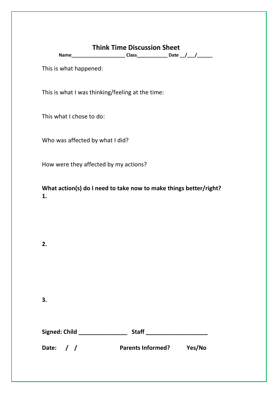## **Think Time Discussion Sheet**

**Name\_\_\_\_\_\_\_\_\_\_\_\_\_\_\_\_\_\_\_\_\_ Class\_\_\_\_\_\_\_\_\_\_\_\_ Date \_\_/\_\_\_/\_\_\_\_\_\_** 

This is what happened:

This is what I was thinking/feeling at the time:

This what I chose to do:

Who was affected by what I did?

How were they affected by my actions?

**What action(s) do I need to take now to make things better/right? 1.**

**2.**

**3.**

| Signed: Child |  | <b>Staff</b>             |        |
|---------------|--|--------------------------|--------|
| Date: $/ /$   |  | <b>Parents Informed?</b> | Yes/No |